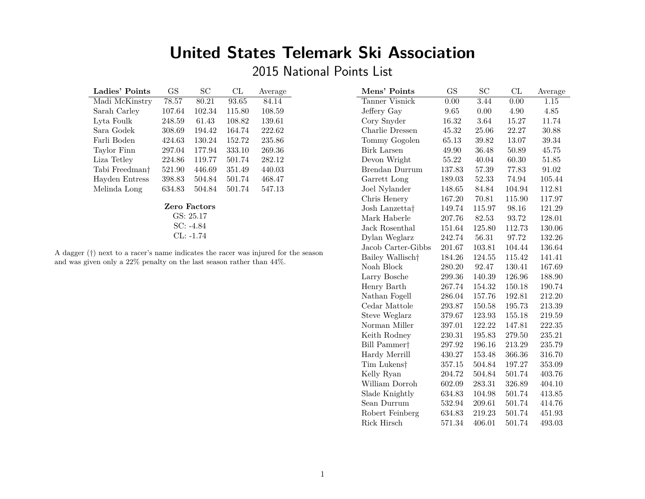# **United States Telemark Ski Association**

2015 National Points List

| Ladies' Points             | <b>GS</b> | SС     | CL     | Average |  |  |
|----------------------------|-----------|--------|--------|---------|--|--|
| Madi McKinstry             | 78.57     | 80.21  | 93.65  | 84.14   |  |  |
| Sarah Carley               | 107.64    | 102.34 | 115.80 | 108.59  |  |  |
| Lyta Foulk                 | 248.59    | 61.43  | 108.82 | 139.61  |  |  |
| Sara Godek                 | 308.69    | 194.42 | 164.74 | 222.62  |  |  |
| Farli Boden                | 424.63    | 130.24 | 152.72 | 235.86  |  |  |
| Taylor Finn                | 297.04    | 177.94 | 333.10 | 269.36  |  |  |
| Liza Tetley                | 224.86    | 119.77 | 501.74 | 282.12  |  |  |
| Tabi Freedman <sup>†</sup> | 521.90    | 446.69 | 351.49 | 440.03  |  |  |
| Hayden Entress             | 398.83    | 504.84 | 501.74 | 468.47  |  |  |
| Melinda Long               | 634.83    | 504.84 | 501.74 | 547.13  |  |  |
| Zero Factors               |           |        |        |         |  |  |

GS: 25.17 SC: -4.84 CL: -1.74

A dagger (*†*) next to a racer's name indicates the racer was injured for the season and was given only a 22% penalty on the last season rather than 44%.

| Mens' Points                 | <b>GS</b> | SC                | CL     | Average   |
|------------------------------|-----------|-------------------|--------|-----------|
| Tanner Visnick               | 0.00      | $\overline{3.44}$ | 0.00   | 1.15      |
| Jeffery Gay                  | 9.65      | 0.00              | 4.90   | 4.85      |
| Cory Snyder                  | 16.32     | 3.64              | 15.27  | 11.74     |
| Charlie Dressen              | 45.32     | 25.06             | 22.27  | 30.88     |
| Tommy Gogolen                | 65.13     | 39.82             | 13.07  | $39.34\,$ |
| <b>Birk Larsen</b>           | 49.90     | 36.48             | 50.89  | 45.75     |
| Devon Wright                 | 55.22     | 40.04             | 60.30  | $51.85\,$ |
| Brendan Durrum               | 137.83    | 57.39             | 77.83  | 91.02     |
| Garrett Long                 | 189.03    | 52.33             | 74.94  | 105.44    |
| Joel Nylander                | 148.65    | 84.84             | 104.94 | 112.81    |
| Chris Henery                 | 167.20    | 70.81             | 115.90 | 117.97    |
| Josh Lanzetta†               | 149.74    | 115.97            | 98.16  | 121.29    |
| Mark Haberle                 | 207.76    | 82.53             | 93.72  | 128.01    |
| Jack Rosenthal               | 151.64    | 125.80            | 112.73 | 130.06    |
| Dylan Weglarz                | 242.74    | 56.31             | 97.72  | 132.26    |
| Jacob Carter-Gibbs           | 201.67    | 103.81            | 104.44 | 136.64    |
| Bailey Wallisch <sup>+</sup> | 184.26    | 124.55            | 115.42 | 141.41    |
| Noah Block                   | 280.20    | 92.47             | 130.41 | 167.69    |
| Larry Bosche                 | 299.36    | 140.39            | 126.96 | 188.90    |
| Henry Barth                  | 267.74    | 154.32            | 150.18 | 190.74    |
| Nathan Fogell                | 286.04    | 157.76            | 192.81 | 212.20    |
| Cedar Mattole                | 293.87    | 150.58            | 195.73 | 213.39    |
| Steve Weglarz                | 379.67    | 123.93            | 155.18 | 219.59    |
| Norman Miller                | 397.01    | 122.22            | 147.81 | 222.35    |
| Keith Rodney                 | 230.31    | 195.83            | 279.50 | 235.21    |
| Bill Pammer <sup>+</sup>     | 297.92    | 196.16            | 213.29 | 235.79    |
| Hardy Merrill                | 430.27    | 153.48            | 366.36 | 316.70    |
| Tim Lukens†                  | 357.15    | 504.84            | 197.27 | 353.09    |
| Kelly Ryan                   | 204.72    | 504.84            | 501.74 | 403.76    |
| William Dorroh               | 602.09    | 283.31            | 326.89 | 404.10    |
| Slade Knightly               | 634.83    | 104.98            | 501.74 | 413.85    |
| Sean Durrum                  | 532.94    | 209.61            | 501.74 | 414.76    |
| Robert Feinberg              | 634.83    | 219.23            | 501.74 | 451.93    |
| Rick Hirsch                  | 571.34    | 406.01            | 501.74 | 493.03    |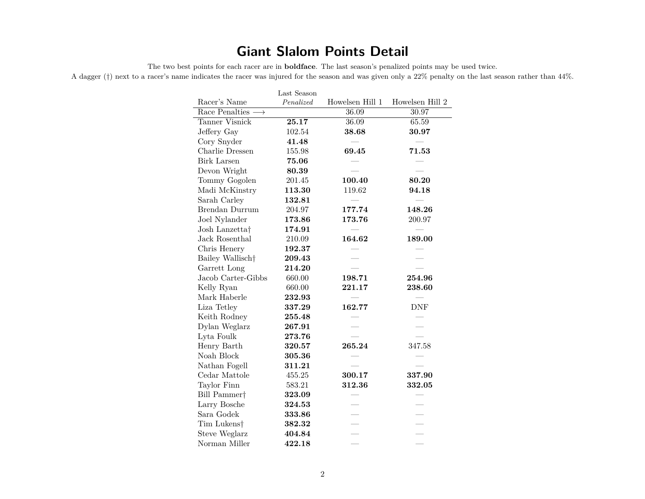## **Giant Slalom Points Detail**

The two best points for each racer are in **boldface**. The last season's penalized points may be used twice.

A dagger (*†*) next to a racer's name indicates the racer was injured for the season and was given only a 22% penalty on the last season rather than 44%.

|                                  | Last Season |                 |                 |
|----------------------------------|-------------|-----------------|-----------------|
| Racer's Name                     | Penalized   | Howelsen Hill 1 | Howelsen Hill 2 |
| Race Penalties $\longrightarrow$ |             | 36.09           | 30.97           |
| Tanner Visnick                   | 25.17       | 36.09           | 65.59           |
| Jeffery Gay                      | 102.54      | 38.68           | 30.97           |
| Cory Snyder                      | 41.48       |                 |                 |
| Charlie Dressen                  | 155.98      | 69.45           | 71.53           |
| <b>Birk Larsen</b>               | 75.06       |                 |                 |
| Devon Wright                     | 80.39       |                 |                 |
| Tommy Gogolen                    | 201.45      | 100.40          | 80.20           |
| Madi McKinstry                   | 113.30      | 119.62          | 94.18           |
| Sarah Carley                     | 132.81      |                 |                 |
| Brendan Durrum                   | 204.97      | 177.74          | 148.26          |
| Joel Nylander                    | 173.86      | 173.76          | 200.97          |
| Josh Lanzetta <sup>†</sup>       | 174.91      |                 |                 |
| Jack Rosenthal                   | 210.09      | 164.62          | 189.00          |
| Chris Henery                     | 192.37      |                 |                 |
| Bailey Wallisch <sup>+</sup>     | 209.43      |                 |                 |
| Garrett Long                     | 214.20      |                 |                 |
| Jacob Carter-Gibbs               | 660.00      | 198.71          | 254.96          |
| Kelly Ryan                       | 660.00      | 221.17          | 238.60          |
| Mark Haberle                     | 232.93      |                 |                 |
| Liza Tetley                      | 337.29      | 162.77          | <b>DNF</b>      |
| Keith Rodney                     | 255.48      |                 |                 |
| Dylan Weglarz                    | 267.91      |                 |                 |
| Lyta Foulk                       | 273.76      |                 |                 |
| Henry Barth                      | 320.57      | 265.24          | 347.58          |
| Noah Block                       | 305.36      |                 |                 |
| Nathan Fogell                    | 311.21      |                 |                 |
| Cedar Mattole                    | 455.25      | 300.17          | 337.90          |
| Taylor Finn                      | 583.21      | 312.36          | 332.05          |
| Bill Pammer <sup>†</sup>         | 323.09      |                 |                 |
| Larry Bosche                     | 324.53      |                 |                 |
| Sara Godek                       | 333.86      |                 |                 |
| Tim Lukens <sup>†</sup>          | 382.32      |                 |                 |
| Steve Weglarz                    | 404.84      |                 |                 |
| Norman Miller                    | 422.18      |                 |                 |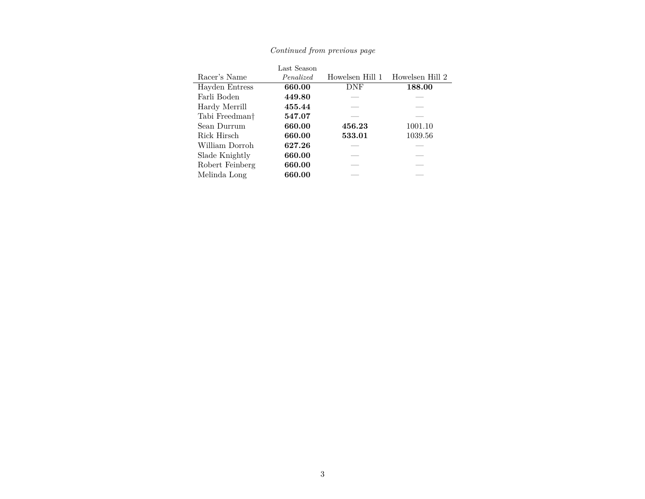|                            | Last Season |                 |                 |
|----------------------------|-------------|-----------------|-----------------|
| Racer's Name               | Penalized   | Howelsen Hill 1 | Howelsen Hill 2 |
| Hayden Entress             | 660.00      | DNF             | 188.00          |
| Farli Boden                | 449.80      |                 |                 |
| Hardy Merrill              | 455.44      |                 |                 |
| Tabi Freedman <sup>†</sup> | 547.07      |                 |                 |
| Sean Durrum                | 660.00      | 456.23          | 1001.10         |
| Rick Hirsch                | 660.00      | 533.01          | 1039.56         |
| William Dorroh             | 627.26      |                 |                 |
| Slade Knightly             | 660.00      |                 |                 |
| Robert Feinberg            | 660.00      |                 |                 |
| Melinda Long               | 660.00      |                 |                 |

### *Continued from previous page*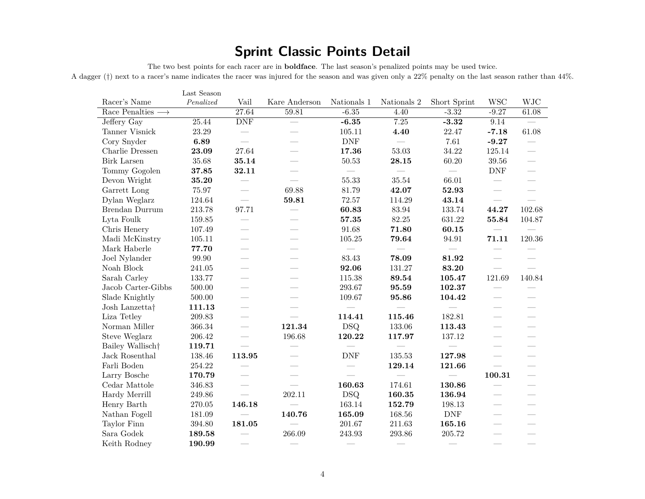## **Sprint Classic Points Detail**

The two best points for each racer are in **boldface**. The last season's penalized points may be used twice.

A dagger (*†*) next to a racer's name indicates the racer was injured for the season and was given only a 22% penalty on the last season rather than 44%.

|                                  | Last Season |                          |                          |                      |             |                             |                                 |                                 |
|----------------------------------|-------------|--------------------------|--------------------------|----------------------|-------------|-----------------------------|---------------------------------|---------------------------------|
| Racer's Name                     | Penalized   | Vail                     | Kare Anderson            | Nationals 1          | Nationals 2 | Short Sprint                | <b>WSC</b>                      | <b>WJC</b>                      |
| Race Penalties $\longrightarrow$ |             | 27.64                    | 59.81                    | $-6.35$              | 4.40        | $-3.32$                     | $-9.27$                         | 61.08                           |
| Jeffery Gay                      | 25.44       | <b>DNF</b>               |                          | $-6.35$              | 7.25        | $-3.32$                     | 9.14                            |                                 |
| Tanner Visnick                   | 23.29       |                          |                          | 105.11               | 4.40        | 22.47                       | $-7.18$                         | 61.08                           |
| Cory Snyder                      | 6.89        |                          |                          | $\operatorname{DNF}$ |             | $7.61\,$                    | $-9.27$                         |                                 |
| Charlie Dressen                  | 23.09       | 27.64                    |                          | 17.36                | 53.03       | 34.22                       | 125.14                          | $\overline{\phantom{a}}$        |
| <b>Birk Larsen</b>               | 35.68       | 35.14                    |                          | 50.53                | 28.15       | 60.20                       | 39.56                           | $\overline{\phantom{a}}$        |
| Tommy Gogolen                    | 37.85       | 32.11                    |                          |                      |             |                             | <b>DNF</b>                      | $\frac{1}{1}$                   |
| Devon Wright                     | 35.20       |                          |                          | 55.33                | 35.54       | 66.01                       |                                 | $\overline{\phantom{0}}$        |
| Garrett Long                     | 75.97       |                          | 69.88                    | 81.79                | 42.07       | 52.93                       |                                 |                                 |
| Dylan Weglarz                    | 124.64      |                          | 59.81                    | 72.57                | 114.29      | 43.14                       |                                 |                                 |
| Brendan Durrum                   | 213.78      | 97.71                    |                          | 60.83                | 83.94       | 133.74                      | 44.27                           | 102.68                          |
| Lyta Foulk                       | 159.85      |                          |                          | 57.35                | 82.25       | 631.22                      | 55.84                           | 104.87                          |
| Chris Henery                     | 107.49      |                          |                          | 91.68                | 71.80       | 60.15                       |                                 |                                 |
| Madi McKinstry                   | 105.11      |                          |                          | 105.25               | 79.64       | 94.91                       | 71.11                           | 120.36                          |
| Mark Haberle                     | 77.70       | $\overline{\phantom{a}}$ |                          |                      |             |                             |                                 |                                 |
| Joel Nylander                    | 99.90       |                          |                          | 83.43                | 78.09       | 81.92                       |                                 |                                 |
| Noah Block                       | 241.05      | $\overline{\phantom{a}}$ |                          | 92.06                | 131.27      | 83.20                       |                                 |                                 |
| Sarah Carley                     | 133.77      |                          |                          | 115.38               | 89.54       | 105.47                      | 121.69                          | 140.84                          |
| Jacob Carter-Gibbs               | 500.00      |                          |                          | 293.67               | 95.59       | 102.37                      | $\overbrace{\qquad \qquad }^{}$ |                                 |
| Slade Knightly                   | 500.00      |                          |                          | 109.67               | 95.86       | 104.42                      | $\hspace{0.1mm}-\hspace{0.1mm}$ |                                 |
| Josh Lanzetta <sup>†</sup>       | 111.13      | $\overline{\phantom{0}}$ | $\overline{\phantom{a}}$ |                      |             | $\frac{1}{2}$               | $\overline{\phantom{a}}$        |                                 |
| Liza Tetley                      | 209.83      |                          |                          | 114.41               | 115.46      | 182.81                      |                                 | $\overbrace{\qquad \qquad }^{}$ |
| Norman Miller                    | 366.34      |                          | 121.34                   | <b>DSQ</b>           | 133.06      | 113.43                      |                                 |                                 |
| Steve Weglarz                    | 206.42      |                          | 196.68                   | 120.22               | 117.97      | 137.12                      |                                 |                                 |
| Bailey Wallisch <sup>+</sup>     | 119.71      | $\overline{\phantom{0}}$ |                          |                      |             |                             |                                 |                                 |
| Jack Rosenthal                   | 138.46      | 113.95                   |                          | <b>DNF</b>           | 135.53      | 127.98                      | $\frac{1}{2}$                   | $\overline{\phantom{0}}$        |
| Farli Boden                      | 254.22      |                          |                          |                      | 129.14      | 121.66                      | $\overline{\phantom{0}}$        | $\overline{\phantom{0}}$        |
| Larry Bosche                     | 170.79      | $\overline{\phantom{a}}$ |                          |                      |             |                             | 100.31                          |                                 |
| Cedar Mattole                    | 346.83      | $\overline{\phantom{0}}$ | $\overline{\phantom{0}}$ | 160.63               | 174.61      | 130.86                      |                                 |                                 |
| Hardy Merrill                    | 249.86      | $\overline{\phantom{0}}$ | 202.11                   | <b>DSQ</b>           | 160.35      | 136.94                      |                                 |                                 |
| Henry Barth                      | 270.05      | 146.18                   |                          | 163.14               | 152.79      | 198.13                      |                                 |                                 |
| Nathan Fogell                    | 181.09      |                          | 140.76                   | 165.09               | 168.56      | $\ensuremath{\mathrm{DNF}}$ | $\overline{\phantom{a}}$        | $\overline{\phantom{0}}$        |
| Taylor Finn                      | 394.80      | 181.05                   |                          | 201.67               | 211.63      | 165.16                      | $\overline{\phantom{a}}$        | $\overline{\phantom{a}}$        |
| Sara Godek                       | 189.58      |                          | 266.09                   | 243.93               | 293.86      | 205.72                      |                                 | $\frac{1}{2}$                   |
| Keith Rodney                     | 190.99      |                          |                          |                      |             |                             |                                 | $\overline{\phantom{a}}$        |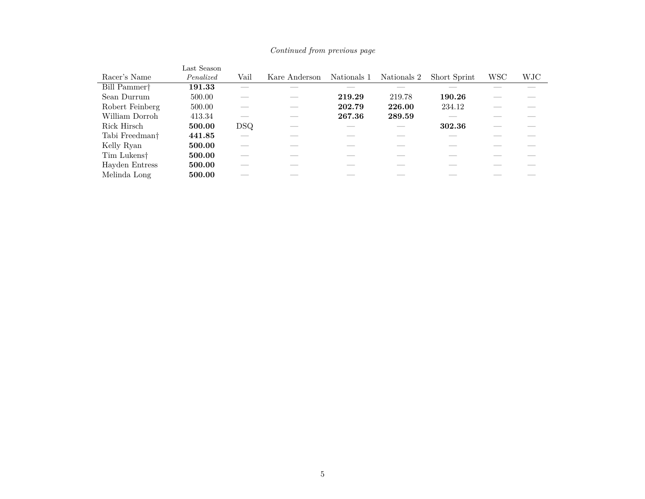|                            | Last Season |      |               |             |             |              |            |     |
|----------------------------|-------------|------|---------------|-------------|-------------|--------------|------------|-----|
| Racer's Name               | Penalized   | Vail | Kare Anderson | Nationals 1 | Nationals 2 | Short Sprint | <b>WSC</b> | WJC |
| Bill Pammer <sup>†</sup>   | 191.33      |      |               |             |             |              |            |     |
| Sean Durrum                | 500.00      |      |               | 219.29      | 219.78      | 190.26       |            |     |
| Robert Feinberg            | 500.00      |      |               | 202.79      | 226.00      | 234.12       |            |     |
| William Dorroh             | 413.34      |      |               | 267.36      | 289.59      |              |            |     |
| Rick Hirsch                | 500.00      | DSQ. |               |             |             | 302.36       |            |     |
| Tabi Freedman <sup>†</sup> | 441.85      |      |               |             |             |              |            |     |
| Kelly Ryan                 | 500.00      |      |               |             |             |              |            |     |
| Tim Lukens <sup>†</sup>    | 500.00      |      |               |             |             |              |            |     |
| Hayden Entress             | 500.00      |      |               |             |             |              |            |     |
| Melinda Long               | 500.00      |      |               |             |             |              |            |     |

*Continued from previous page*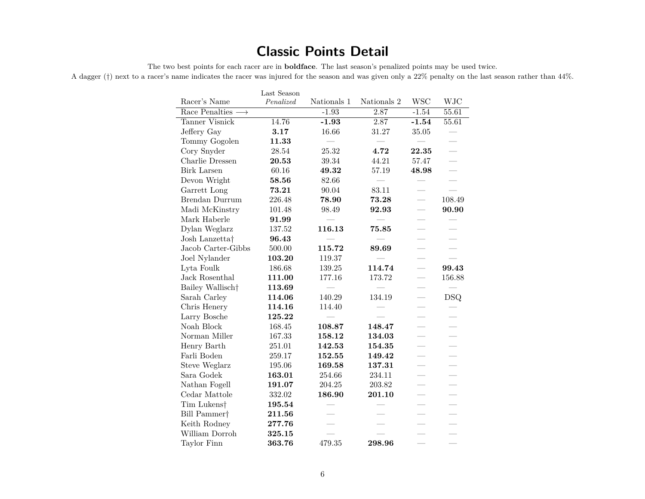## **Classic Points Detail**

The two best points for each racer are in **boldface**. The last season's penalized points may be used twice.

A dagger (*†*) next to a racer's name indicates the racer was injured for the season and was given only a 22% penalty on the last season rather than 44%.

|                                   | Last Season |             |             |            |                          |
|-----------------------------------|-------------|-------------|-------------|------------|--------------------------|
| Racer's Name                      | Penalized   | Nationals 1 | Nationals 2 | <b>WSC</b> | <b>WJC</b>               |
| Race Penalties -<br>$\rightarrow$ |             | $-1.93$     | 2.87        | $-1.54$    | 55.61                    |
| <b>Tanner Visnick</b>             | 14.76       | $-1.93$     | 2.87        | $-1.54$    | 55.61                    |
| Jeffery Gay                       | 3.17        | 16.66       | 31.27       | 35.05      |                          |
| Tommy Gogolen                     | 11.33       |             |             |            |                          |
| Cory Snyder                       | 28.54       | 25.32       | 4.72        | 22.35      |                          |
| Charlie Dressen                   | 20.53       | 39.34       | 44.21       | 57.47      |                          |
| <b>Birk Larsen</b>                | 60.16       | 49.32       | 57.19       | 48.98      | $\overline{\phantom{0}}$ |
| Devon Wright                      | 58.56       | 82.66       |             |            |                          |
| Garrett Long                      | 73.21       | 90.04       | 83.11       |            |                          |
| Brendan Durrum                    | 226.48      | 78.90       | 73.28       |            | 108.49                   |
| Madi McKinstry                    | 101.48      | 98.49       | 92.93       |            | 90.90                    |
| Mark Haberle                      | 91.99       |             |             |            |                          |
| Dylan Weglarz                     | 137.52      | 116.13      | 75.85       |            |                          |
| Josh Lanzetta†                    | 96.43       |             |             |            |                          |
| Jacob Carter-Gibbs                | 500.00      | 115.72      | 89.69       |            | $\overline{\phantom{0}}$ |
| Joel Nylander                     | 103.20      | 119.37      |             |            |                          |
| Lyta Foulk                        | 186.68      | 139.25      | 114.74      |            | 99.43                    |
| Jack Rosenthal                    | 111.00      | 177.16      | 173.72      |            | 156.88                   |
| Bailey Wallisch <sup>+</sup>      | 113.69      |             |             |            |                          |
| Sarah Carley                      | 114.06      | 140.29      | 134.19      | $\equiv$   | <b>DSQ</b>               |
| Chris Henery                      | 114.16      | 114.40      |             |            |                          |
| Larry Bosche                      | 125.22      |             |             |            |                          |
| Noah Block                        | 168.45      | 108.87      | 148.47      |            | $\overline{\phantom{0}}$ |
| Norman Miller                     | 167.33      | 158.12      | 134.03      |            |                          |
| Henry Barth                       | 251.01      | 142.53      | 154.35      |            | $\overline{\phantom{0}}$ |
| Farli Boden                       | 259.17      | 152.55      | 149.42      |            |                          |
| Steve Weglarz                     | 195.06      | 169.58      | 137.31      |            |                          |
| Sara Godek                        | 163.01      | 254.66      | 234.11      |            |                          |
| Nathan Fogell                     | 191.07      | 204.25      | 203.82      |            |                          |
| $\operatorname{Cedar}$ Mattole    | 332.02      | 186.90      | 201.10      |            |                          |
| Tim Lukens <sup>†</sup>           | 195.54      |             |             |            |                          |
| Bill Pammer <sup>+</sup>          | 211.56      |             |             |            |                          |
| Keith Rodney                      | 277.76      |             |             |            |                          |
| William Dorroh                    | 325.15      |             |             |            |                          |
| Taylor Finn                       | 363.76      | 479.35      | 298.96      |            |                          |